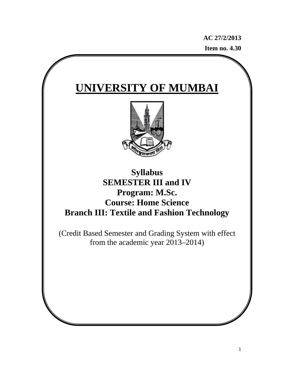**AC 27/2/2013 Item no. 4.30**

# **UNIVERSITY OF MUMBAI**



# **Syllabus SEMESTER III and IV Program: M.Sc. Course: Home Science Branch III: Textile and Fashion Technology**

(Credit Based Semester and Grading System with effect from the academic year 2013–2014)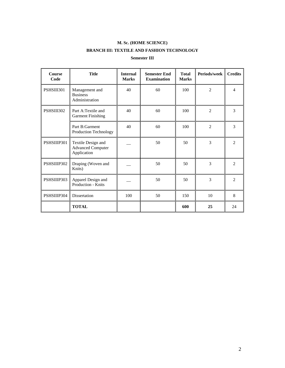# **M. Sc. (HOME SCIENCE)**

## **BRANCH III: TEXTILE AND FASHION TECHNOLOGY**

### **Semester III**

| <b>Course</b><br>Code | <b>Title</b>                                                  | <b>Internal</b><br><b>Marks</b> | <b>Semester End</b><br><b>Examination</b> | <b>Total</b><br><b>Marks</b> | Periods/week   | <b>Credits</b> |
|-----------------------|---------------------------------------------------------------|---------------------------------|-------------------------------------------|------------------------------|----------------|----------------|
| PSHSIII301            | Management and<br><b>Business</b><br>Administration           | 40                              | 60                                        | 100                          | $\overline{2}$ | $\overline{4}$ |
| PSHSIII302            | Part A:Textile and<br><b>Garment Finishing</b>                | 40                              | 60                                        | 100                          | $\overline{2}$ | 3              |
|                       | Part B:Garment<br>Production Technology                       | 40                              | 60                                        | 100                          | $\overline{2}$ | 3              |
| PSHSIIIP301           | Textile Design and<br><b>Advanced Computer</b><br>Application |                                 | 50                                        | 50                           | 3              | $\mathfrak{D}$ |
| PSHSIIIP302           | Draping (Woven and<br>Knits)                                  |                                 | 50                                        | 50                           | 3              | $\mathfrak{D}$ |
| PSHSIIIP303           | Apparel Design and<br>Production - Knits                      |                                 | 50                                        | 50                           | 3              | 2              |
| PSHSIIIP304           | Dissertation                                                  | 100                             | 50                                        | 150                          | 10             | 8              |
|                       | <b>TOTAL</b>                                                  |                                 |                                           | 600                          | 25             | 24             |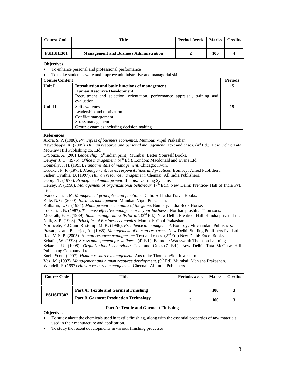| <b>Course Code</b> | Title                                         | <b>Periods/week</b> | Marks    Credits |  |
|--------------------|-----------------------------------------------|---------------------|------------------|--|
| PSHSIII301         | <b>Management and Business Administration</b> |                     | 100              |  |

To enhance personal and professional performance

• To make students aware and improve administrative and managerial skills.

| <b>Course Content</b> |                                                                                           | <b>Periods</b> |
|-----------------------|-------------------------------------------------------------------------------------------|----------------|
| Unit I.               | Introduction and basic functions of management                                            |                |
|                       | <b>Human Resource Development</b>                                                         |                |
|                       | Recruitment and selection, orientation, performance appraisal, training and<br>evaluation |                |
| Unit II.              | Self awareness                                                                            | 15             |
|                       | Leadership and motivation                                                                 |                |
|                       | Conflict management                                                                       |                |
|                       | Stress management                                                                         |                |
|                       | Group dynamics including decision making                                                  |                |

#### **References**

Arora, S. P. (1980). *Principles of business economics*. Mumbai: Vipul Prakashan.

Aswathappa, K. (2005). *Human resource and personal management*. Text and cases. (4<sup>th</sup> Ed.). New Delhi: Tata McGraw Hill Publishing co. Ltd.

D'Souza, A. (2001 *Leadership*. (5<sup>th</sup>Indian print). Mumbai: Better Yourself Books.

Denyer, J. C. (1975). *Office management*. (4<sup>th</sup> Ed.). London: Macdonald and Evans Ltd.

Donnelly, J. H. (1995). *Fundamentals of management*. Chicago: Irwin.

Drucker, P. F. (1975). *Management, tasks, responsibilities and practices*. Bombay: Allied Publishers.

Fisher, Cynthia, D. (1997). *Human resource management*. Chennai: All India Publishers.

George T. (1978). *Principles of management*. Illinois: Learning Systems.

Hersey, P. (1998). *Management of organizational behaviour.* (7<sup>th</sup> Ed.). New Delhi: Prentice- Hall of India Pvt. Ltd.

Ivancevich, J. M. *Management principles and functions*. Delhi: All India Travel Books.

Kale, N. G. (2000). *Business management*. Mumbai: Vipul Prakashan.

Kulkarni, L. G. (1984). *Management is the name of the game*. Bombay: India Book House.

Lockett, J. B. (1987). *The most effective management in your business*. Northamptoshire: Thomsons.

McGrath, E. H. (1989). *Basic managerial skills for all*. (3rd Ed.). New Delhi: Prentice- Hall of India private Ltd. Naik, S. P. (1993). *Principles of Business economics*. Mumbai: Vipul Prakashan.

Northcote, P .C. and Rustomji, M. K. (1986). *Excellence in management*. Bombay: Mirchandani Publishers.

Prasad, L. and Banerjee, A., (1985). *Management of human resources*. New Delhi: Sterling Publishers Pvt. Ltd.

Rao, V. S. P. (2005). *Human resource management*: Text and cases. (2<sup>nd</sup> Ed.). New Delhi: Excel Books.

Schafer, W. (1998). *Stress management for wellness*. (4<sup>th</sup> Ed.). Belmont: Wadsworth Thomson Learning.

Sekaran, U. (1998). *Organizational behaviour*: Text and Cases.(7<sup>th</sup>.Ed.). New Delhi: Tata McGraw Hill Publishing Company. Ltd.

Snell, Scott. (2007). *Human resource management*. Australia: Thomson/South-western.

Vaz, M. (1997). *Management and human resource development*. (9th Ed). Mumbai: Manisha Prakashan.

Wendell, F. (1997) *Human resource management*. Chennai: All India Publishers.

| Course Code | Title                                        | Periods/week | <b>Marks</b> | <b>Credits</b> |
|-------------|----------------------------------------------|--------------|--------------|----------------|
| PSHSIII302  | Part A: Textile and Garment Finishing        |              | 100          |                |
|             | <b>Part B: Garment Production Technology</b> |              | 100          |                |

#### **Part A: Textile and Garment Finishing**

- To study about the chemicals used in textile finishing, along with the essential properties of raw materials used in their manufacture and application.
- To study the recent developments in various finishing processes.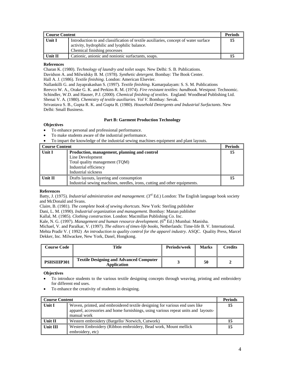| Course Content |                                                                                                                                                                     | <b>Periods</b> |
|----------------|---------------------------------------------------------------------------------------------------------------------------------------------------------------------|----------------|
| Unit I         | Introduction to and classification of textile auxiliaries, concept of water surface<br>activity, hydrophilic and lyophilic balance.<br>Chemical finishing processes | 15             |
| Unit II        | Cationic, anionic and nonionic surfactants, soaps.                                                                                                                  |                |

#### **References**

Charan K. (1980). *Technology of laundry and toilet soaps.* New Delhi: S. B. Publications.

Davidson A. and Milwidsky B. M. (1978). *Synthetic detergent*. Bombay: The Book Center.

Hall A. J. (1986). *Textile finishing*. London: American Elsevier.

Nallankilli G. and Jayaprakashan S. (1997). *Textile finishing*. Kamarpalayam: S. S. M. Publications

Reevco W. A., Orake G. K. and Perkins R. M. (1974). *Fire resistant textiles: handbook.* Westpost: Technomic.

Schindler, W.D. and Hauser, P.J. (2000). *Chemical finishing of textiles.* England: Woodhead Publishing Ltd. Shenai V. A. (1980). *Chemistry of textile auxiliaries. Vol V*. Bombay: Sevak.

Srivastava S. B., Gupta R. K. and Gupta R. (1980). *Household Detergents and Industrial Surfactants*. New Delhi: Small Business.

#### **Part B: Garment Production Technology**

#### **Objectives**

- To enhance personal and professional performance.
- To make students aware of the industrial performance.
- To impart the knowledge of the industrial sewing machines equipment and plant layouts.

| Course Content |                                                                           | <b>Periods</b> |
|----------------|---------------------------------------------------------------------------|----------------|
| Unit I         | Production, management, planning and control                              | 15             |
|                | Line Development                                                          |                |
|                | Total quality management (TQM)                                            |                |
|                | Industrial efficiency                                                     |                |
|                | Industrial sickness                                                       |                |
| Unit II        | Drafts layouts, layering and consumption                                  | 15             |
|                | Industrial sewing machines, needles, irons, cutting and other equipments. |                |

#### **References**

Batty, J. (1975). *Industrial administration and management*. (3rd Ed.) London: The English language book society and McDonald and Svans.

Claire, B. (1981). *The complete book of sewing shortcuts.* New York: Sterling publisher

Dani, L. M. (1990). *Industrial organization and management.* Bombay: Manan publisher

Kallal, M. (1985). *Clothing construction*. London: Macmillan Publishing Co. Inc.

Kale, N. G. (1997). *Management and human resource development*. (6<sup>th</sup> Ed.) Mumbai: Manisha.

Michael, V. and Paralkar, V. (1997). *The editors of times-life books,* Netherlands: Time-life B. V. International.

Mehta Pradir V. ( 1992) *An introduction to quality control for the apparel industry*. ASQC. Quality Press, Marcel Dekker, Inc. Milwackee, New York, Dasel, Hongkong.

| <b>Course Code</b> | <b>Title</b>                                                  | <b>Periods/week</b> | <b>Marks</b> | Credits |
|--------------------|---------------------------------------------------------------|---------------------|--------------|---------|
| PSHSIIIP301        | <b>Textile Designing and Advanced Computer</b><br>Application |                     | 50           |         |

- To introduce students to the various textile designing concepts through weaving, printing and embroidery for different end uses.
- To enhance the creativity of students in designing.

| <b>Course Content</b> |                                                                                                                                                                                  | <b>Periods</b> |
|-----------------------|----------------------------------------------------------------------------------------------------------------------------------------------------------------------------------|----------------|
| Unit I                | Woven, printed, and embroidered textile designing for various end uses like<br>apparel, accessories and home furnishings, using various repeat units and layouts-<br>manual work | 15             |
| Unit II               | Western embroidery (Bargello/Norwich, Cutwork)                                                                                                                                   | 15             |
| Unit III              | Western Embroidery (Ribbon embroidery, Bead work, Mount mellick)<br>embroidery, etc)                                                                                             | 15             |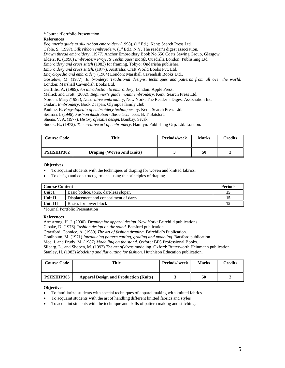#### \* Journal/Portfolio Presentation

#### **References**

*Beginner's guide to silk ribbon embroidery* (1998). (1<sup>st</sup> Ed.). Kent: Search Press Ltd.

Cable, S. (1997). *Silk ribbon embroidery*. (1<sup>st</sup> Ed.). N.Y. The reader's digest association,

*Drawn thread embroidery*, (1977) Anchor Embroidery Book No.650 Coats Sewing Group, Glasgow.

Elders, K. (1998) *Embroidery Projects Techniques: motifs*, Quadrilla London: Publishing Ltd.

*Embroidery and cross stitch* (1983) for framing, Tokyo: Ondarisha publisher.

*Embroidery and cross stitch*. (1977). Australia: Craft World Books Pvt. Ltd.

*Encyclopedia and embroidery* (1984) London: Marshall Cavendish Books Ltd.,

Gostelow, M. (1977). *Embroidery: Traditional designs, techniques and patterns from all over the world*. London: Marshall Cavendish Books Ltd,

Griffiths, A. (1989). *An introduction to embroidery*, London: Apple Press.

Mellick and Trott. (2002). *Beginner's guide mount embroidery.* Kent: Search Press Ltd.

Norden, Mary *(*1997), *Decorative embroidery*, New York: The Reader's Digest Association Inc.

Ondari, *Embroidery*, Book 2 Japan: Olympus family club

Pauline, B. *Encyclopedia of embroidery techniques* by, Kent: Search Press Ltd.

Seaman, J. (1996). *Fashion illustration - Basic techniques*. B. T. Batsford.

Shenai, V. A. (1977). *History of textile design*. Bombay: Sevak.

Snook, B., (1972). *The creative art of embroidery*, Hamlyn: Publishing Grp. Ltd. London.

| <b>Course Code</b> | Title                            | Periods/week | <b>Marks</b> | Credits |
|--------------------|----------------------------------|--------------|--------------|---------|
| PSHSIIIP302        | <b>Draping (Woven And Knits)</b> |              | 50           |         |

#### **Objectives**

• To acquaint students with the techniques of draping for woven and knitted fabrics.

• To design and construct garments using the principles of draping.

| <b>Course Content</b> |                                        | <b>Periods</b> |
|-----------------------|----------------------------------------|----------------|
| Unit I                | Basic bodice, torso, dart-less sloper. |                |
| Unit II               | Displacement and concealment of darts. |                |
| Unit III              | Basics for lower block                 |                |

\*Journal Portfolio Presentation

#### **References**

Armstrong, H .J. (2000). *Draping for apparel design*. New York: Fairchild publications.

Cloake, D. (1976) *Fashion design on the stand*. Batsford publication.

Crawford, Connice, A. (1989) *The art of fashion draping*. Fairchild's Publication.

Goulboum, M. (1971) *Introducing pattern cutting, grading and modeling*. Batsford publication

Mee, J. and Prudy, M. (1987) *Modelling on the stand*. Oxford: BPS Professional Books.

Silberg, L., and Shoben, M. (1992) *The art of dress* modeling. Oxford: Butterworth Heinmann publication.

Stanley, H. (1983) *Modeling and flat cutting for fashion*. Hutchison Education publication.

| <b>Course Code</b> | Title                                        | Periods/week | <b>Marks</b> | <b>Credits</b> |
|--------------------|----------------------------------------------|--------------|--------------|----------------|
| <b>PSHSIIIP303</b> | <b>Apparel Design and Production (Knits)</b> |              | 50           |                |

- To familiarize students with special techniques of apparel making with knitted fabrics.
- To acquaint students with the art of handling different knitted fabrics and styles
- To acquaint students with the technique and skills of pattern making and stitching.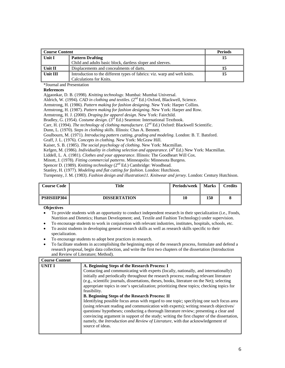| <b>Course Content</b> |                                                                           | <b>Periods</b> |
|-----------------------|---------------------------------------------------------------------------|----------------|
| Unit I                | <b>Pattern Drafting</b>                                                   |                |
|                       | Child and adults basic block, dartless sloper and sleeves.                |                |
| Unit II               | Displacements and concealments of darts.                                  |                |
| Unit III              | Introduction to the different types of fabrics: viz. warp and weft knits. | 15             |
|                       | Calculations for Knits.                                                   |                |

\*Journal and Presentation

#### **References**

Ajgaonkar, D. B. (1998). *Knitting technology*. Mumbai: Mumbai Universal.

Aldrich, W. (1994). *CAD in clothing and textiles*. (2nd Ed.) Oxford, Blackwell, Science.

Armstrong, H. (1986). *Pattern making for fashion designing*. New York: Harper Collins.

Armstrong, H. (1987). *Pattern making for fashion designing*. New York: Harper and Row.

Armstrong, H. J. (2000). *Draping for apparel design*. New York: Fairchild.

Bradley, G. (1954). *Costume design*. (3rd Ed.) Searnton: International Textbook.

Carr, H. (1994). *The technology of clothing manufacture*. (2<sup>nd</sup> Ed.) Oxford: Blackwell Scientific.

Dunn, L. (1970). *Steps in clothing skills*. Illinois: Chas A. Bennett.

Goulbourn, M. (1971). *Introducing pattern cutting, grading and modeling*. London: B. T. Batsford.

Graff, J. L. (1976). *Concepts in clothing*. New York: McGraw Hill.

Kaiser, S. B. (1985). *The social psychology of clothing*. New York: Macmillan.

Kefgen, M. (1986). *Individuality in clothing selection and appearance*. (4<sup>th</sup> Ed.) New York: Macmillan.

Liddell, L. A. (1981). *Clothes and your appearance*. Illinois: The Goodheart Will Cox.

Minott, J. (1978). *Fitting commercial patterns*. Minneapolis: Minnesota Burgess.

Spencer D. (1989). *Knitting technology* (2<sup>nd</sup> Ed.) Cambridge: Woodhead.

Stanley, H. (1977). *Modeling and flat cutting for fashion*. London: Hutchison.

Turnpenny, J. M. (1983). *Fashion design and illustration11. Knitwear and jersey*. London: Century Hutchison.

| <b>Course Code</b> | Title               | Periods/week | <b>Marks</b> | Credits |
|--------------------|---------------------|--------------|--------------|---------|
| <b>PSHSIIIP304</b> | <b>DISSERTATION</b> | 10           | 150          |         |

- To encourage students to work in conjunction with relevant industries, institutes, hospitals, schools, etc.
- To assist students in developing general research skills as well as research skills specific to their specialization.
- To encourage students to adopt best practices in research.
- To facilitate students in accomplishing the beginning steps of the research process, formulate and defend a research proposal, begin data collection, and write the first two chapters of the dissertation (Introduction and Review of Literature; Method).

| <b>Course Content</b> |                                                                                                                                                                                                                                                                                                                                                                                                                                                                                                                                                                                                                                                                                                                                                                                                                                                                                                                                                                                             |
|-----------------------|---------------------------------------------------------------------------------------------------------------------------------------------------------------------------------------------------------------------------------------------------------------------------------------------------------------------------------------------------------------------------------------------------------------------------------------------------------------------------------------------------------------------------------------------------------------------------------------------------------------------------------------------------------------------------------------------------------------------------------------------------------------------------------------------------------------------------------------------------------------------------------------------------------------------------------------------------------------------------------------------|
| <b>UNIT I</b>         | A. Beginning Steps of the Research Process: I<br>Contacting and communicating with experts (locally, nationally, and internationally)<br>initially and periodically throughout the research process; reading relevant literature<br>(e.g., scientific journals, dissertations, theses, books, literature on the Net); selecting<br>appropriate topics in one's specialization; prioritizing these topics; checking topics for<br>feasibility.<br><b>B. Beginning Steps of the Research Process: II</b><br>Identifying possible focus areas with regard to one topic; specifying one such focus area<br>(using relevant reading and communication with experts); writing research objectives/<br>questions/ hypotheses; conducting a thorough literature review; presenting a clear and<br>convincing argument in support of the study; writing the first chapter of the dissertation,<br>namely, the Introduction and Review of Literature, with due acknowledgement of<br>source of ideas. |

<sup>•</sup> To provide students with an opportunity to conduct independent research in their specialization (i.e., Foods, Nutrition and Dietetics; Human Development; and, Textile and Fashion Technology) under supervision.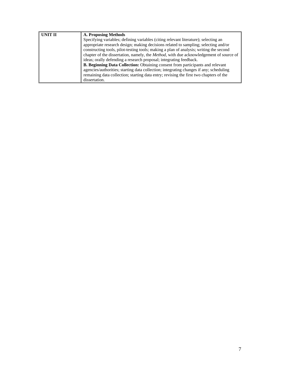| <b>UNIT II</b> | A. Proposing Methods                                                                   |  |  |  |  |
|----------------|----------------------------------------------------------------------------------------|--|--|--|--|
|                | Specifying variables; defining variables (citing relevant literature); selecting an    |  |  |  |  |
|                | appropriate research design; making decisions related to sampling; selecting and/or    |  |  |  |  |
|                | constructing tools, pilot-testing tools; making a plan of analysis; writing the second |  |  |  |  |
|                | chapter of the dissertation, namely, the Method, with due acknowledgement of source of |  |  |  |  |
|                | ideas; orally defending a research proposal; integrating feedback.                     |  |  |  |  |
|                | B. Beginning Data Collection: Obtaining consent from participants and relevant         |  |  |  |  |
|                | agencies/authorities; starting data collection; integrating changes if any; scheduling |  |  |  |  |
|                | remaining data collection; starting data entry; revising the first two chapters of the |  |  |  |  |
|                | dissertation.                                                                          |  |  |  |  |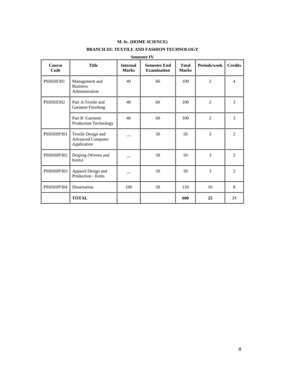# **M. Sc. (HOME SCIENCE)**

# **BRANCH III: TEXTILE AND FASHION TECHNOLOGY**

| <b>Course</b><br>Code | <b>Title</b>                                                  | <b>Internal</b><br><b>Marks</b> | <b>Semester End</b><br><b>Examination</b> | Total<br><b>Marks</b> | <b>Periods/week</b> | <b>Credits</b> |
|-----------------------|---------------------------------------------------------------|---------------------------------|-------------------------------------------|-----------------------|---------------------|----------------|
| PSHSIII301            | Management and<br><b>Business</b><br>Administration           | 40                              | 60                                        | 100                   | $\overline{2}$      | $\overline{4}$ |
| PSHSIII302            | Part A:Textile and<br><b>Garment Finishing</b>                | 40                              | 60                                        | 100                   | $\overline{2}$      | 3              |
|                       | Part B: Garment<br>Production Technology                      | 40                              | 60                                        | 100                   | $\overline{2}$      | 3              |
| PSHSIIIP301           | Textile Design and<br><b>Advanced Computer</b><br>Application |                                 | 50                                        | 50                    | 3                   | $\overline{2}$ |
| PSHSIIIP302           | Draping (Woven and<br>Knits)                                  |                                 | 50                                        | 50                    | 3                   | 2              |
| PSHSIIIP303           | Apparel Design and<br>Production - Knits                      |                                 | 50                                        | 50                    | 3                   | $\overline{2}$ |
| PSHSIIIP304           | <b>Dissertation</b>                                           | 100                             | 50                                        | 150                   | 10                  | 8              |
|                       | <b>TOTAL</b>                                                  |                                 |                                           | 600                   | 25                  | 24             |

#### **Semester IV**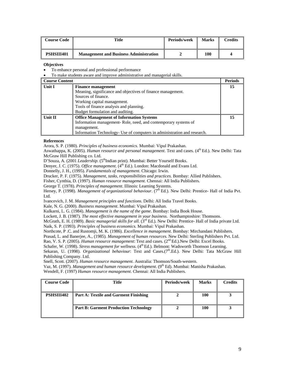| <b>Course Code</b> | Title                                         | Periods/week | <b>Marks</b> | Credits |
|--------------------|-----------------------------------------------|--------------|--------------|---------|
| PSHSIII401         | <b>Management and Business Administration</b> |              | 100          |         |

- To enhance personal and professional performance
- To make students aware and improve administrative and managerial skills.

| <b>Course Content</b> |                                                                          | <b>Periods</b> |
|-----------------------|--------------------------------------------------------------------------|----------------|
| Unit I                | <b>Finance management</b>                                                | 15             |
|                       | Meaning, significance and objectives of finance management.              |                |
|                       | Sources of finance.                                                      |                |
|                       | Working capital management.                                              |                |
|                       | Tools of finance analysis and planning.                                  |                |
|                       | Budget formulation and auditing.                                         |                |
| <b>Unit II</b>        | <b>Office Management of Information Systems</b>                          | 15             |
|                       | Information management-Role, need, and contemporary systems of           |                |
|                       | management.                                                              |                |
|                       | Information Technology- Use of computers in administration and research. |                |

#### **References**

Arora, S. P. (1980). *Principles of business economics*. Mumbai: Vipul Prakashan.

Aswathappa, K. (2005). *Human resource and personal management*. Text and cases. (4<sup>th</sup> Ed.). New Delhi: Tata McGraw Hill Publishing co. Ltd.

D'Souza, A. (2001 *Leadership*. (5<sup>th</sup>Indian print). Mumbai: Better Yourself Books.

Denyer, J. C. (1975). *Office management*. (4<sup>th</sup> Ed.). London: Macdonald and Evans Ltd.

Donnelly, J. H., (1995). *Fundamentals of management*. Chicago: Irwin.

Drucker, P. F. (1975). *Management, tasks, responsibilities and practices*. Bombay: Allied Publishers.

Fisher, Cynthia, D. (1997). *Human resource management*. Chennai: All India Publishers.

George T. (1978). *Principles of management*. Illinois: Learning Systems.

Hersey, P. (1998). *Management of organizational behaviour.* (7<sup>th</sup> Ed.). New Delhi: Prentice- Hall of India Pvt. Ltd.

Ivancevich, J. M. *Management principles and functions*. Delhi: All India Travel Books.

Kale, N. G. (2000). *Business management*. Mumbai: Vipul Prakashan.

Kulkarni, L. G. (1984). *Management is the name of the game*. Bombay: India Book House.

Lockett, J. B. (1987). *The most effective management in your business*. Northamptoshire: Thomsons.

McGrath, E. H. (1989). *Basic managerial skills for all*. (3rd Ed.). New Delhi: Prentice- Hall of India private Ltd. Naik, S. P. (1993). *Principles of business economics*. Mumbai: Vipul Prakashan.

Northcote, P .C. and Rustomji, M. K. (1986). *Excellence in management*. Bombay: Mirchandani Publishers.

Prasad, L. and Banerjee, A., (1985). *Management of human resources*. New Delhi: Sterling Publishers Pvt. Ltd.

Rao, V. S. P. (2005). *Human resource management*: Text and cases. (2nd Ed.).New Delhi: Excel Books.

Schafer, W. (1998). *Stress management for wellness*. (4<sup>th</sup> Ed.). Belmont: Wadsworth Thomson Learning.

Sekaran, U. (1998). *Organizational behaviour*: Text and Cases.(7<sup>th</sup>.Ed.). New Delhi: Tata McGraw Hill Publishing Company. Ltd.

Snell, Scott. (2007). *Human resource management*. Australia: Thomson/South-western.

Vaz, M. (1997). *Management and human resource development*. (9th Ed). Mumbai: Manisha Prakashan.

Wendell, F. (1997) *Human resource management*. Chennai: All India Publishers.

| <b>Course Code</b> | Title                                        | Periods/week | <b>Marks</b> | <b>Credits</b> |
|--------------------|----------------------------------------------|--------------|--------------|----------------|
| PSHSIII402         | <b>Part A: Textile and Garment Finishing</b> |              | 100          |                |
|                    | <b>Part B: Garment Production Technology</b> |              | 100          |                |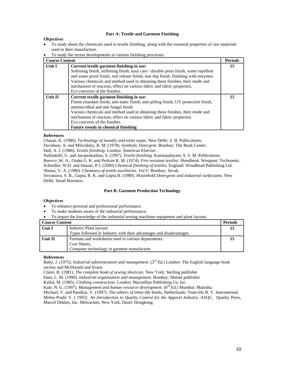#### **Part A: Textile and Garment Finishing**

#### **Objectives**

- To study about the chemicals used in textile finishing, along with the essential properties of raw materials used in their manufacture.
- To study the recent developments in various finishing processes.

| <b>Course Content</b> |                                                                                        | <b>Periods</b> |
|-----------------------|----------------------------------------------------------------------------------------|----------------|
| Unit I                | Current textile garment finishing in use:                                              | 15             |
|                       | Softening finish, stiffening finish, easy care / durable press finish, water repellent |                |
|                       | and water proof finish, soil release finish, non slip finish, finishing with enzymes.  |                |
|                       | Various chemicals and method used in obtaining these finishes, their mode and          |                |
|                       | mechanism of reaction, effect on various fabric and fabric properties.                 |                |
|                       | Eco concerns of the finishes.                                                          |                |
| <b>Unit II</b>        | Current textile garment finishing in use:                                              | 15             |
|                       | Flame retardant finish, anti-static finish, anti-pilling finish, UV protection finish, |                |
|                       | antimicrobial and anti fungal finish                                                   |                |
|                       | Various chemicals and method used in obtaining these finishes, their mode and          |                |
|                       | mechanism of reaction, effect on various fabric and fabric properties.                 |                |
|                       | Eco concerns of the finishes.                                                          |                |
|                       | <b>Future trends in chemical finishing</b>                                             |                |

#### **References**

Charan, K. (1980). *Technology of laundry and toilet soaps.* New Delhi: S. B. Publications.

Davidson, A. and Milwidsky, B. M. (1978). *Synthetic Detergent*. Bombay: The Book Center.

Hall, A. J. (1986). *Textile finishing*. London: American Elsevier.

Nallankilli, G. and Jayaprakashan, S. (1997). *Textile finishing*. Kamarpalayam: S. S. M. Publications Reevco ,W. A., Orake G. K. and Perkins R. M. (1974). *Fire resistant textiles: Handbook.* Westpost: Technomic. Schindler, W.D. and Hauser, P.J. (2000) *Chemical finishing of textiles.* England: Woodhead Publishing Ltd. Shenai, V. A. (1980). *Chemistry of textile auxiliaries. Vol V*. Bombay: Sevak.

Srivastava, S. B., Gupta, R. K. and Gupta R. (1980). *Household Detergents and industrial surfactants*. New Delhi: Small Business.

#### **Part B: Garment Production Technology**

#### **Objectives**

- To enhance personal and professional performance.
- To make students aware of the industrial performance.
- To impart the knowledge of the industrial sewing machines equipment and plant layouts.

| Course Content |                                                                    | Periods |
|----------------|--------------------------------------------------------------------|---------|
| Unit I         | <b>Industry Plant layouts</b>                                      | 15      |
|                | Types followed in Industry with their advantages and disadvantages |         |
| Unit II        | Formats and worksheets used in various departments.                | 15      |
|                | Cost Sheets.                                                       |         |
|                | Computer technology in garment manufacture                         |         |

#### **References**

Batty, J. (1975). *Industrial administration and management*. (3rd Ed.) London: The English language book society and McDonald and Svans.

Claire, B. (1981). *The complete book of sewing shortcuts.* New York: Sterling publisher

Dani, L. M. (1990). *Industrial organization and management.* Bombay: Manan publisher

Kallal, M. (1985). *Clothing construction*. London: Macmillan Publishing Co. Inc.

Kale, N. G. (1997). *Management and human resource development*. (6<sup>th</sup> Ed.) Mumbai: Manisha.

Michael, V. and Paralkar, V. (1997). *The editors of times-life books,* Netherlands: Time-life B. V. International.

Mehta Pradir V. ( 1992) *An Introduction to Quality Control for the Apparel Industry*. ASQC. Quality Press, Marcel Dekker, Inc. Milwackee, New York, Dasel, Hongkong.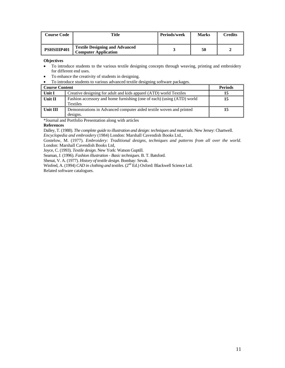| <b>Course Code</b> | Title                                                                | Periods/week | <b>Marks</b> | Credits |
|--------------------|----------------------------------------------------------------------|--------------|--------------|---------|
| PSHSIIIP401        | <b>Textile Designing and Advanced</b><br><b>Computer Application</b> |              | 50           |         |

- To introduce students to the various textile designing concepts through weaving, printing and embroidery for different end uses.
- To enhance the creativity of students in designing.
- To introduce students to various advanced textile designing software packages.

| <b>Course Content</b> |                                                                                           | <b>Periods</b> |
|-----------------------|-------------------------------------------------------------------------------------------|----------------|
| Unit I                | Creative designing for adult and kids apparel (ATD) world Textiles                        | 15             |
| Unit II               | Fashion accessory and home furnishing (one of each) (using (ATD) world<br><b>Textiles</b> | 15             |
| Unit III              | Demonstrations in Advanced computer aided textile woven and printed<br>designs.           | 15             |

\*Journal and Portfolio Presentation along with articles

#### **References**

Dalley, T. (1988). *The complete guide to illustration and design: techniques and materials*. New Jersey: Chartwell. *Encyclopedia and embroidery* (1984) London: Marshall Cavendish Books Ltd.,

Gostelow, M. (1977). *Embroidery: Traditional designs, techniques and patterns from all over the world*. London: Marshall Cavendish Books Ltd,

Joyce, C. (1993). *Textile design*. New York: Watson Guptill.

Seaman, J. (1996). *Fashion illustration - Basic techniques*. B. T. Batsford.

Shenai, V. A. (1977). *History of textile design*. Bombay: Sevak.

Winfred, A. (1994) *CAD in clothing and textiles*. (2<sup>nd</sup> Ed.) Oxford: Blackwell Science Ltd. Related software catalogues.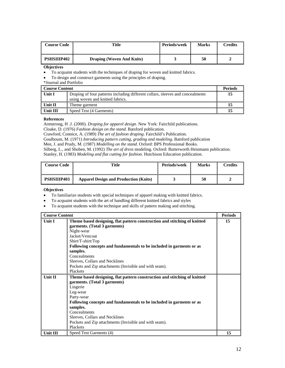| <b>Course Code</b> | Title                            | <b>Periods/week</b> | <b>Marks</b> | Credits |
|--------------------|----------------------------------|---------------------|--------------|---------|
| <b>PSHSIIIP402</b> | <b>Draping (Woven And Knits)</b> |                     | 50           |         |

• To acquaint students with the techniques of draping for woven and knitted fabrics.

• To design and construct garments using the principles of draping.

\*Journal and Portfolio

| Course Content |                                                                                                                    | <b>Periods</b> |
|----------------|--------------------------------------------------------------------------------------------------------------------|----------------|
| Unit I         | Draping of four patterns including different collars, sleeves and concealments<br>using woven and knitted fabrics. |                |
| Unit II        | Theme garment                                                                                                      |                |
| Unit III       | Speed Test (4 Garments)                                                                                            |                |

#### **References**

Armstrong, H .J. (2000). *Draping for apparel design*. New York: Fairchild publications.

Cloake, D. (1976) *Fashion design on the stand*. Batsford publication.

Crawford, Connice, A. (1989) *The art of fashion draping*. Fairchild's Publication.

Goulboum, M. (1971) *Introducing pattern cutting, grading and modeling.* Batsford publication

Mee, J. and Prudy, M. (1987) *Modelling on the stand*. Oxford: BPS Professional Books.

Silberg, L., and Shoben, M. (1992) *The art of dress* modeling. Oxford: Butterworth Heinmann publication.

Stanley, H. (1983) *Modeling and flat cutting for fashion*. Hutchison Education publication.

| <b>Course Code</b> | Title                                        | Periods/week | <b>Marks</b> | Credits |
|--------------------|----------------------------------------------|--------------|--------------|---------|
| <b>PSHSIIIP403</b> | <b>Apparel Design and Production (Knits)</b> |              | 50           |         |

- To familiarize students with special techniques of apparel making with knitted fabrics.
- To acquaint students with the art of handling different knitted fabrics and styles
- To acquaint students with the technique and skills of pattern making and stitching.

| <b>Course Content</b> |                                                                                                                                                                                                                                                                                                                                                                             | <b>Periods</b> |
|-----------------------|-----------------------------------------------------------------------------------------------------------------------------------------------------------------------------------------------------------------------------------------------------------------------------------------------------------------------------------------------------------------------------|----------------|
| Unit I                | Theme based designing, flat pattern construction and stitching of knitted<br>garments. (Total 3 garments)<br>Night-wear<br>Jacket/Vestcoat<br>Shirt/T-shirt/Top<br>Following concepts and fundamentals to be included in garments or as<br>samples.<br>Concealments<br>Sleeves, Collars and Necklines<br>Pockets and Zip attachments (Invisible and with seam).<br>Plackets | 15             |
| <b>Unit II</b>        | Theme based designing, flat pattern construction and stitching of knitted<br>garments. (Total 3 garments)<br>Lingerie<br>Leg-wear<br>Party-wear<br>Following concepts and fundamentals to be included in garments or as<br>samples.<br>Concealments<br>Sleeves, Collars and Necklines<br>Pockets and Zip attachments (Invisible and with seam).<br>Plackets                 |                |
| Unit III              | Speed Test Garments (4)                                                                                                                                                                                                                                                                                                                                                     | 15             |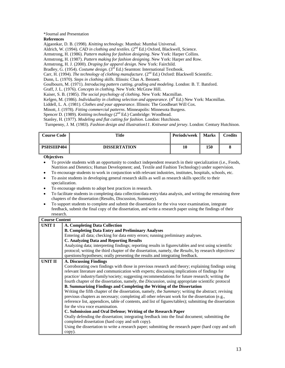#### \*Journal and Presentation

#### **References**

Ajgaonkar, D. B. (1998). *Knitting technology*. Mumbai: Mumbai Universal.

Aldrich, W. (1994). *CAD in clothing and textiles*. (2nd Ed.) Oxford, Blackwell, Science.

Armstrong, H. (1986). *Pattern making for fashion designing*. New York: Harper Collins.

Armstrong, H. (1987). *Pattern making for fashion designing*. New York: Harper and Row.

Armstrong, H. J. (2000). *Draping for apparel design*. New York: Fairchild.

Bradley, G. (1954). *Costume design.* (3<sup>rd</sup> Ed.) Searnton: International Textbook.

Carr, H. (1994). *The technology of clothing manufacture*. (2<sup>nd</sup> Ed.) Oxford: Blackwell Scientific.

Dunn, L. (1970). *Steps in clothing skills*. Illinois: Chas A. Bennett.

Goulbourn, M. (1971). *Introducing pattern cutting, grading and modeling*. London: B. T. Batsford.

Graff, J. L. (1976). *Concepts in clothing*. New York: McGraw Hill.

Kaiser, S. B. (1985). *The social psychology of clothing*. New York: Macmillan.

Kefgen, M. (1986). *Individuality in clothing selection and appearance*.  $(4^{th} Ed)$  New York: Macmillan.

Liddell, L. A. (1981). *Clothes and your appearance*. Illinois: The Goodheart Will Cox.

Minott, J. (1978). *Fitting commercial patterns*. Minneapolis: Minnesota Burgess.

Spencer D. (1989). *Knitting technology* (2<sup>nd</sup> Ed.) Cambridge: Woodhead.

Stanley, H. (1977). *Modeling and flat cutting for fashion*. London: Hutchison.

Turnpenny, J. M. (1983). *Fashion design and illustration11. Knitwear and jersey*. London: Century Hutchison.

| <b>Course Code</b> | <b>Title</b>        | <b>Periods/week</b> | <b>Marks</b> | Credits |
|--------------------|---------------------|---------------------|--------------|---------|
| <b>PSHSIIIP404</b> | <b>DISSERTATION</b> | 10                  | 150          |         |

#### **Objectives**

• To provide students with an opportunity to conduct independent research in their specialization (i.e., Foods, Nutrition and Dietetics; Human Development; and, Textile and Fashion Technology) under supervision.

- To encourage students to work in conjunction with relevant industries, institutes, hospitals, schools, etc.
- To assist students in developing general research skills as well as research skills specific to their specialization.
- To encourage students to adopt best practices in research.
- To facilitate students in completing data collection/data entry/data analysis, and writing the remaining three chapters of the dissertation (Results, Discussion, Summary).
- To support students to complete and submit the dissertation for the viva voce examination, integrate feedback, submit the final copy of the dissertation, and write a research paper using the findings of their research.

| <b>Course Content</b> |                                                                                                            |  |  |  |
|-----------------------|------------------------------------------------------------------------------------------------------------|--|--|--|
| UNIT I                | <b>A. Completing Data Collection</b>                                                                       |  |  |  |
|                       | <b>B. Completing Data Entry and Preliminary Analyses</b>                                                   |  |  |  |
|                       | Entering all data; checking for data entry errors; running preliminary analyses.                           |  |  |  |
|                       | <b>C. Analyzing Data and Reporting Results</b>                                                             |  |  |  |
|                       | Analyzing data; interpreting findings; reporting results in figures/tables and text using scientific       |  |  |  |
|                       | protocol; writing the third chapter of the dissertation, namely, the Results, by research objectives/      |  |  |  |
|                       | questions/hypotheses; orally presenting the results and integrating feedback.                              |  |  |  |
| UNIT II               | A. Discussing Findings                                                                                     |  |  |  |
|                       | Corroborating own findings with those in previous research and theory; explaining findings using           |  |  |  |
|                       | relevant literature and communication with experts; discussing implications of findings for                |  |  |  |
|                       | practice/industry/family/society; suggesting recommendations for future research; writing the              |  |  |  |
|                       | fourth chapter of the dissertation, namely, the Discussion, using appropriate scientific protocol          |  |  |  |
|                       | <b>B. Summarizing Findings and Completing the Writing of the Dissertation</b>                              |  |  |  |
|                       | Writing the fifth chapter of the dissertation, namely, the <i>Summary</i> ; writing the abstract; revising |  |  |  |
|                       | previous chapters as necessary; completing all other relevant work for the dissertation (e.g.,             |  |  |  |
|                       | reference list, appendices, table of contents, and list of figures/tables); submitting the dissertation    |  |  |  |
|                       | for the viva voce examination.                                                                             |  |  |  |
|                       | C. Submission and Oral Defense; Writing of the Research Paper                                              |  |  |  |
|                       | Orally defending the dissertation; integrating feedback into the final document; submitting the            |  |  |  |
|                       | completed dissertation (hard copy and soft copy).                                                          |  |  |  |
|                       | Using the dissertation to write a research paper; submitting the research paper (hard copy and soft        |  |  |  |
|                       | copy).                                                                                                     |  |  |  |